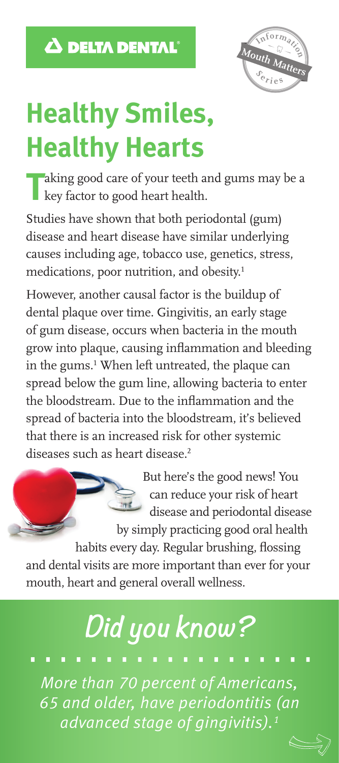

# **Healthy Smiles, Healthy Hearts**

aking good care of your teeth and gums may be a key factor to good heart health.

Studies have shown that both periodontal (gum) disease and heart disease have similar underlying causes including age, tobacco use, genetics, stress, medications, poor nutrition, and obesity.<sup>1</sup>

However, another causal factor is the buildup of dental plaque over time. Gingivitis, an early stage of gum disease, occurs when bacteria in the mouth grow into plaque, causing inflammation and bleeding in the gums.1 When left untreated, the plaque can spread below the gum line, allowing bacteria to enter the bloodstream. Due to the inflammation and the spread of bacteria into the bloodstream, it's believed that there is an increased risk for other systemic diseases such as heart disease.<sup>2</sup>

> But here's the good news! You can reduce your risk of heart disease and periodontal disease by simply practicing good oral health habits every day. Regular brushing, flossing

and dental visits are more important than ever for your mouth, heart and general overall wellness.

# **Did you know?**

*More than 70 percent of Americans, 65 and older, have periodontitis (an advanced stage of gingivitis).1*